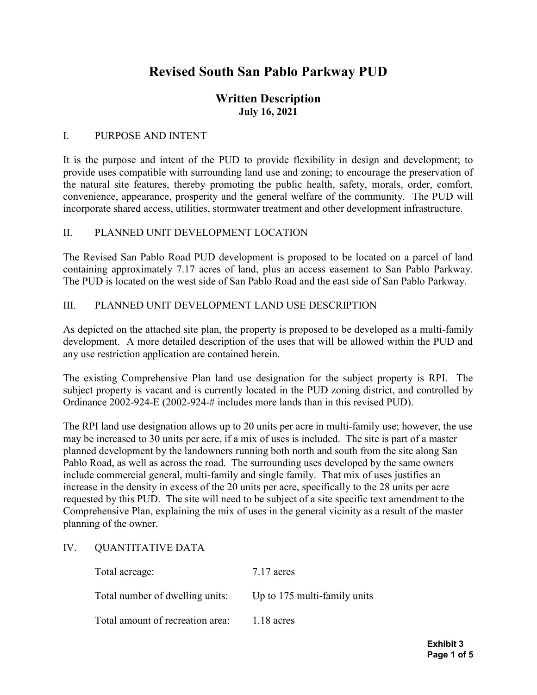# Revised South San Pablo Parkway PUD

# Written Description July 16, 2021

#### I. PURPOSE AND INTENT

It is the purpose and intent of the PUD to provide flexibility in design and development; to provide uses compatible with surrounding land use and zoning; to encourage the preservation of the natural site features, thereby promoting the public health, safety, morals, order, comfort, convenience, appearance, prosperity and the general welfare of the community. The PUD will incorporate shared access, utilities, stormwater treatment and other development infrastructure.

#### II. PLANNED UNIT DEVELOPMENT LOCATION

The Revised San Pablo Road PUD development is proposed to be located on a parcel of land containing approximately 7.17 acres of land, plus an access easement to San Pablo Parkway. The PUD is located on the west side of San Pablo Road and the east side of San Pablo Parkway.

#### III. PLANNED UNIT DEVELOPMENT LAND USE DESCRIPTION

As depicted on the attached site plan, the property is proposed to be developed as a multi-family development. A more detailed description of the uses that will be allowed within the PUD and any use restriction application are contained herein.

The existing Comprehensive Plan land use designation for the subject property is RPI. The subject property is vacant and is currently located in the PUD zoning district, and controlled by Ordinance 2002-924-E (2002-924-# includes more lands than in this revised PUD).

The RPI land use designation allows up to 20 units per acre in multi-family use; however, the use may be increased to 30 units per acre, if a mix of uses is included. The site is part of a master planned development by the landowners running both north and south from the site along San Pablo Road, as well as across the road. The surrounding uses developed by the same owners include commercial general, multi-family and single family. That mix of uses justifies an increase in the density in excess of the 20 units per acre, specifically to the 28 units per acre requested by this PUD. The site will need to be subject of a site specific text amendment to the Comprehensive Plan, explaining the mix of uses in the general vicinity as a result of the master planning of the owner.

#### IV. QUANTITATIVE DATA

| Total acreage:                   | $7.17$ acres                 |
|----------------------------------|------------------------------|
| Total number of dwelling units:  | Up to 175 multi-family units |
| Total amount of recreation area: | $1.18$ acres                 |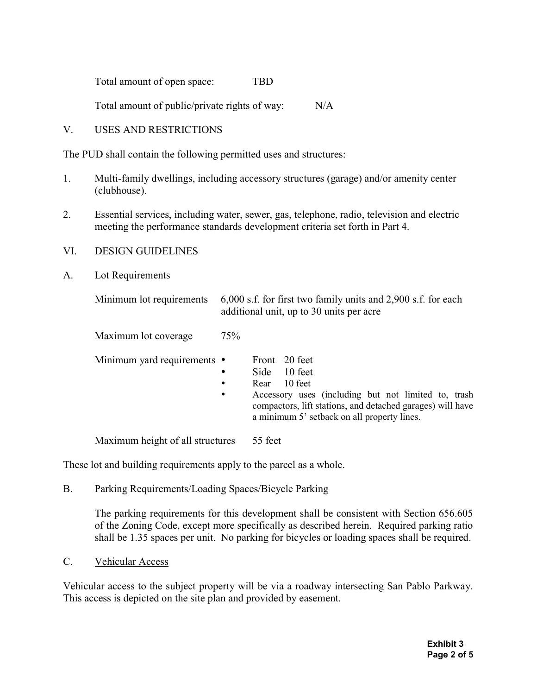Total amount of open space: TBD

Total amount of public/private rights of way: N/A

V. USES AND RESTRICTIONS

The PUD shall contain the following permitted uses and structures:

- 1. Multi-family dwellings, including accessory structures (garage) and/or amenity center (clubhouse).
- 2. Essential services, including water, sewer, gas, telephone, radio, television and electric meeting the performance standards development criteria set forth in Part 4.
- VI. DESIGN GUIDELINES
- A. Lot Requirements

| Minimum lot requirements    | 6,000 s.f. for first two family units and 2,900 s.f. for each<br>additional unit, up to 30 units per acre                                                                                                                                                      |
|-----------------------------|----------------------------------------------------------------------------------------------------------------------------------------------------------------------------------------------------------------------------------------------------------------|
| Maximum lot coverage        | 75%                                                                                                                                                                                                                                                            |
| Minimum yard requirements • | Front 20 feet<br>10 feet<br>Side<br>$\bullet$<br>10 feet<br>Rear<br>$\bullet$<br>Accessory uses (including but not limited to, trash<br>$\bullet$<br>compactors, lift stations, and detached garages) will have<br>a minimum 5' setback on all property lines. |

Maximum height of all structures 55 feet

These lot and building requirements apply to the parcel as a whole.

B. Parking Requirements/Loading Spaces/Bicycle Parking

The parking requirements for this development shall be consistent with Section 656.605 of the Zoning Code, except more specifically as described herein. Required parking ratio shall be 1.35 spaces per unit. No parking for bicycles or loading spaces shall be required.

C. Vehicular Access

Vehicular access to the subject property will be via a roadway intersecting San Pablo Parkway. This access is depicted on the site plan and provided by easement.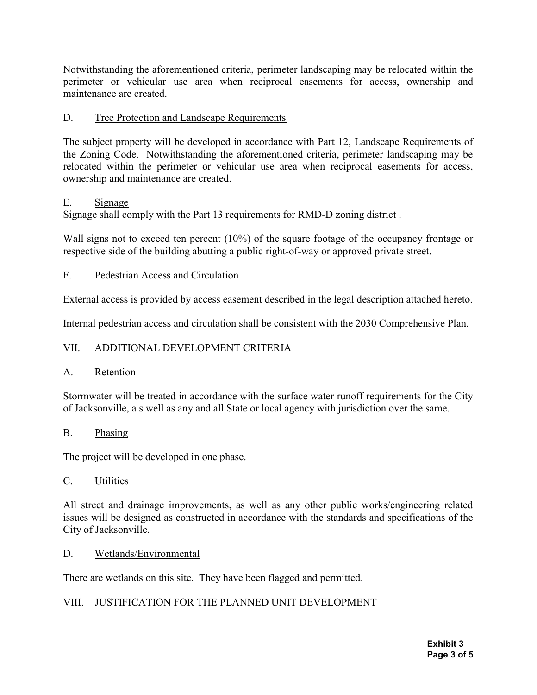Notwithstanding the aforementioned criteria, perimeter landscaping may be relocated within the perimeter or vehicular use area when reciprocal easements for access, ownership and maintenance are created.

# D. Tree Protection and Landscape Requirements

The subject property will be developed in accordance with Part 12, Landscape Requirements of the Zoning Code. Notwithstanding the aforementioned criteria, perimeter landscaping may be relocated within the perimeter or vehicular use area when reciprocal easements for access, ownership and maintenance are created.

# E. Signage

Signage shall comply with the Part 13 requirements for RMD-D zoning district .

Wall signs not to exceed ten percent (10%) of the square footage of the occupancy frontage or respective side of the building abutting a public right-of-way or approved private street.

# F. Pedestrian Access and Circulation

External access is provided by access easement described in the legal description attached hereto.

Internal pedestrian access and circulation shall be consistent with the 2030 Comprehensive Plan.

# VII. ADDITIONAL DEVELOPMENT CRITERIA

# A. Retention

Stormwater will be treated in accordance with the surface water runoff requirements for the City of Jacksonville, a s well as any and all State or local agency with jurisdiction over the same.

# B. Phasing

The project will be developed in one phase.

# C. Utilities

All street and drainage improvements, as well as any other public works/engineering related issues will be designed as constructed in accordance with the standards and specifications of the City of Jacksonville.

# D. Wetlands/Environmental

There are wetlands on this site. They have been flagged and permitted.

# VIII. JUSTIFICATION FOR THE PLANNED UNIT DEVELOPMENT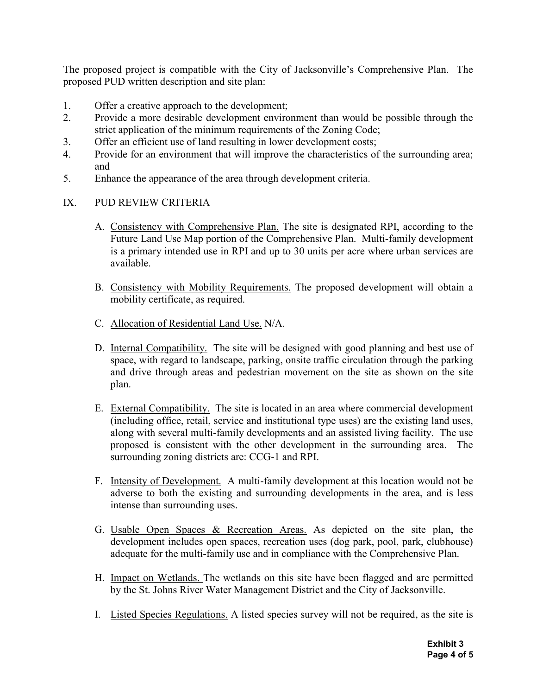The proposed project is compatible with the City of Jacksonville's Comprehensive Plan. The proposed PUD written description and site plan:

- 1. Offer a creative approach to the development;
- 2. Provide a more desirable development environment than would be possible through the strict application of the minimum requirements of the Zoning Code;
- 3. Offer an efficient use of land resulting in lower development costs;
- 4. Provide for an environment that will improve the characteristics of the surrounding area; and
- 5. Enhance the appearance of the area through development criteria.
- IX. PUD REVIEW CRITERIA
	- A. Consistency with Comprehensive Plan. The site is designated RPI, according to the Future Land Use Map portion of the Comprehensive Plan. Multi-family development is a primary intended use in RPI and up to 30 units per acre where urban services are available.
	- B. Consistency with Mobility Requirements. The proposed development will obtain a mobility certificate, as required.
	- C. Allocation of Residential Land Use. N/A.
	- D. Internal Compatibility. The site will be designed with good planning and best use of space, with regard to landscape, parking, onsite traffic circulation through the parking and drive through areas and pedestrian movement on the site as shown on the site plan.
	- E. External Compatibility. The site is located in an area where commercial development (including office, retail, service and institutional type uses) are the existing land uses, along with several multi-family developments and an assisted living facility. The use proposed is consistent with the other development in the surrounding area. The surrounding zoning districts are: CCG-1 and RPI.
	- F. Intensity of Development. A multi-family development at this location would not be adverse to both the existing and surrounding developments in the area, and is less intense than surrounding uses.
	- G. Usable Open Spaces & Recreation Areas. As depicted on the site plan, the development includes open spaces, recreation uses (dog park, pool, park, clubhouse) adequate for the multi-family use and in compliance with the Comprehensive Plan.
	- H. Impact on Wetlands. The wetlands on this site have been flagged and are permitted by the St. Johns River Water Management District and the City of Jacksonville.
	- I. Listed Species Regulations. A listed species survey will not be required, as the site is